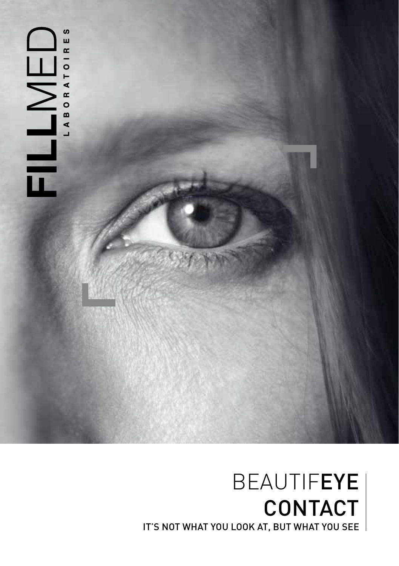

### **BEAUTIFEYE CONTACT** IT'S NOT WHAT YOU LOOK AT, BUT WHAT YOU SEE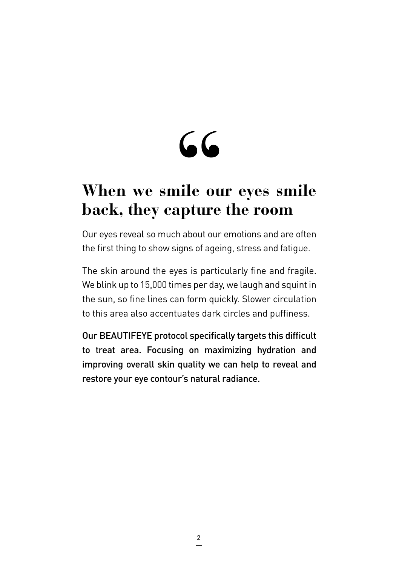# 66

### **When we smile our eyes smile back, they capture the room**

Our eyes reveal so much about our emotions and are often the first thing to show signs of ageing, stress and fatigue.

The skin around the eyes is particularly fine and fragile. We blink up to 15,000 times per day, we laugh and squint in the sun, so fine lines can form quickly. Slower circulation to this area also accentuates dark circles and puffiness.

Our BEAUTIFEYE protocol specifically targets this difficult to treat area. Focusing on maximizing hydration and improving overall skin quality we can help to reveal and restore your eye contour's natural radiance.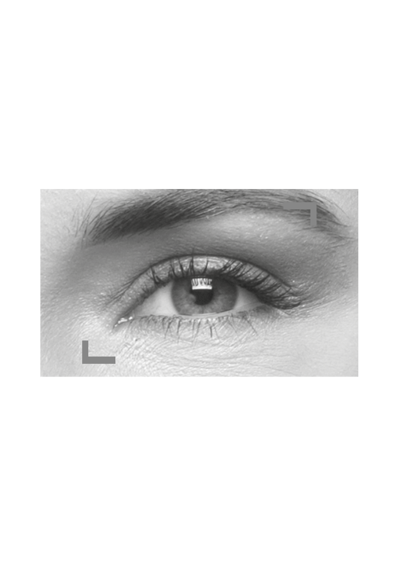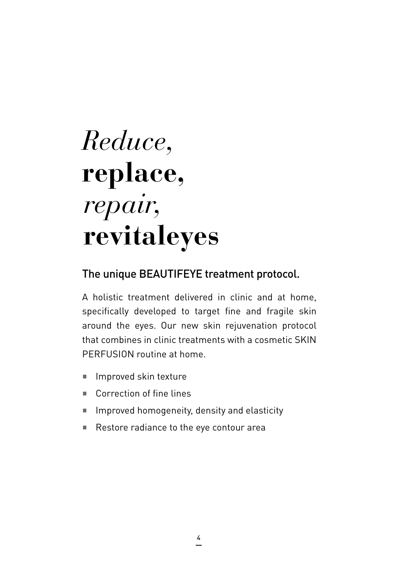## **revitaleyes** *Reduce,* **replace,** *repair,*

### The unique BEAUTIFEYE treatment protocol.

A holistic treatment delivered in clinic and at home, specifically developed to target fine and fragile skin around the eyes. Our new skin rejuvenation protocol that combines in clinic treatments with a cosmetic SKIN PERFUSION routine at home.

- **Improved skin texture**
- Correction of fine lines
- **Inproved homogeneity, density and elasticity**
- **Restore radiance to the eye contour area**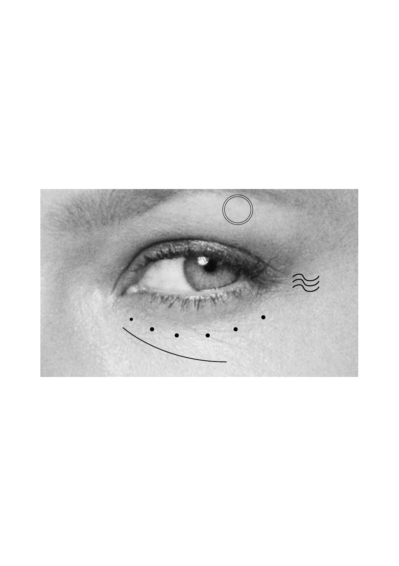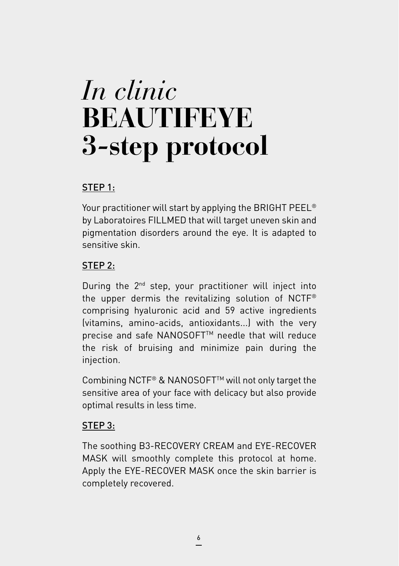### *In clinic*  **BEAUTIFEYE 3-step protocol**

### STEP 1:

Your practitioner will start by applying the BRIGHT PEEL<sup>®</sup> by Laboratoires FILLMED that will target uneven skin and pigmentation disorders around the eye. It is adapted to sensitive skin.

### STEP 2:

During the 2<sup>nd</sup> step, your practitioner will inject into the upper dermis the revitalizing solution of NCTF® comprising hyaluronic acid and 59 active ingredients (vitamins, amino-acids, antioxidants...) with the very precise and safe NANOSOFT™ needle that will reduce the risk of bruising and minimize pain during the injection.

Combining NCTF® & NANOSOFT™ will not only target the sensitive area of your face with delicacy but also provide optimal results in less time.

### STEP 3:

The soothing B3-RECOVERY CREAM and EYE-RECOVER MASK will smoothly complete this protocol at home. Apply the EYE-RECOVER MASK once the skin barrier is completely recovered.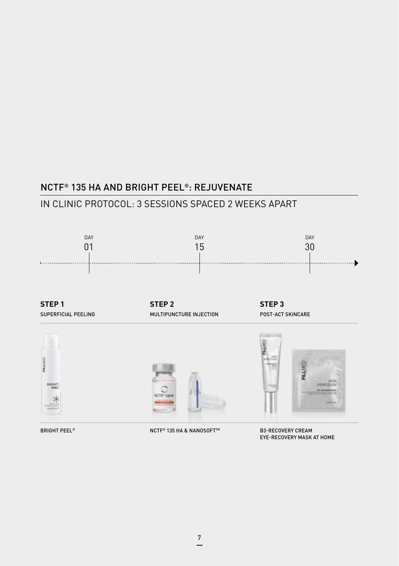### NCTF® 135 HA AND BRIGHT PEEL®: REJUVENATE

### IN CLINIC PROTOCOL: 3 SESSIONS SPACED 2 WEEKS APART



| STEP <sub>1</sub><br>SUPERFICIAL PEELING                               | STEP <sub>2</sub><br>MULTIPUNCTURE INJECTION | STEP <sub>3</sub><br><b>POST-ACT SKINCARE</b>                                                                          |
|------------------------------------------------------------------------|----------------------------------------------|------------------------------------------------------------------------------------------------------------------------|
| <b>BRIGHT</b><br><b>POTL</b><br>冰<br><b>SERVICE</b><br><b>MARTINEZ</b> | <b>NCTF135M</b>                              | <b>TEET DIE E</b><br>$-0.04$<br>ACM2<br>PERFUSION<br><b>There</b> is<br>--<br><b>STAR AGENCIER AND</b><br>and dollars. |
| <b>BRIGHT PEEL®</b>                                                    | NCTF® 135 HA & NANOSOFT™                     | <b>B3-RECOVERY CREAM</b>                                                                                               |

EYE-RECOVERY MASK AT HOME

7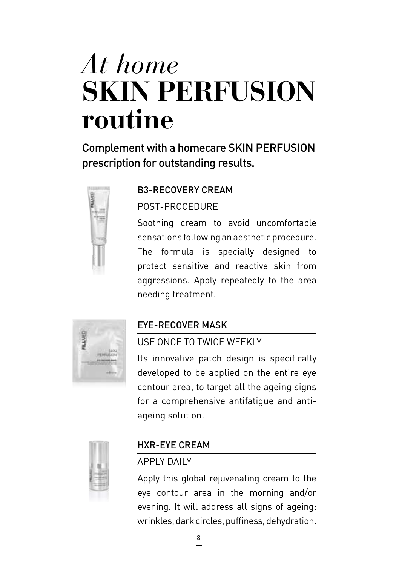### *At home* **SKIN PERFUSION routine**

Complement with a homecare SKIN PERFUSION prescription for outstanding results.



### B3-RECOVERY CREAM

POST-PROCEDURE

Soothing cream to avoid uncomfortable sensations following an aesthetic procedure. The formula is specially designed to protect sensitive and reactive skin from aggressions. Apply repeatedly to the area needing treatment.



### EYE-RECOVER MASK

### USE ONCE TO TWICE WEEKLY

Its innovative patch design is specifically developed to be applied on the entire eye contour area, to target all the ageing signs for a comprehensive antifatigue and antiageing solution.



### HXR-EYE CREAM

### APPLY DAILY

Apply this global rejuvenating cream to the eye contour area in the morning and/or evening. It will address all signs of ageing: wrinkles, dark circles, puffiness, dehydration.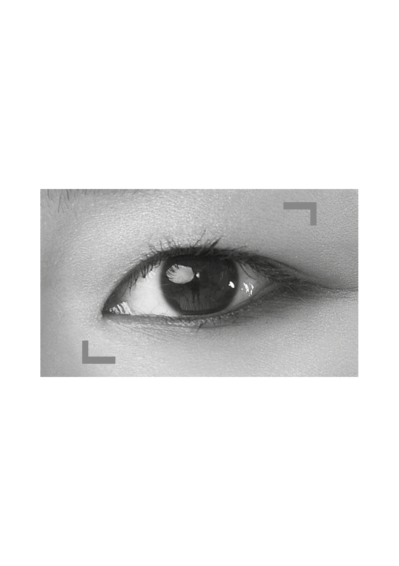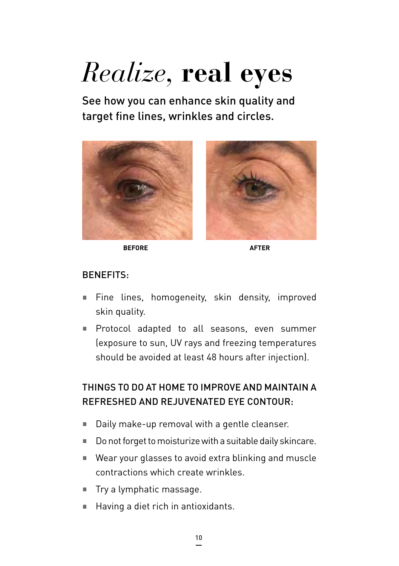# *Realize,* **real eyes**

See how you can enhance skin quality and target fine lines, wrinkles and circles.



**BEFORE AFTER**

#### BENEFITS:

- Fine lines, homogeneity, skin density, improved skin quality.
- **Protocol adapted to all seasons, even summer** (exposure to sun, UV rays and freezing temperatures should be avoided at least 48 hours after injection).

### THINGS TO DO AT HOME TO IMPROVE AND MAINTAIN A REFRESHED AND REJUVENATED EYE CONTOUR.

- Daily make-up removal with a gentle cleanser.
- Do not forget to moisturize with a suitable daily skincare.
- Wear your glasses to avoid extra blinking and muscle contractions which create wrinkles.
- **Try a lymphatic massage.**
- Having a diet rich in antioxidants.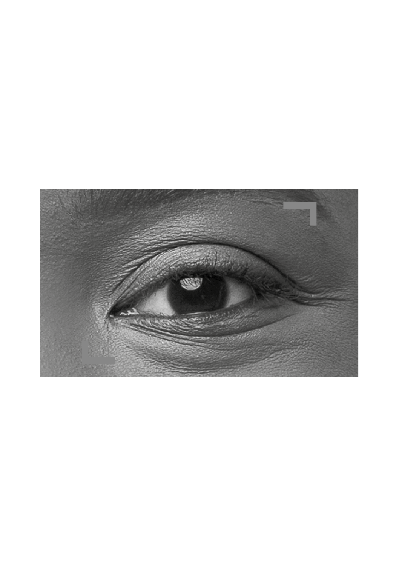